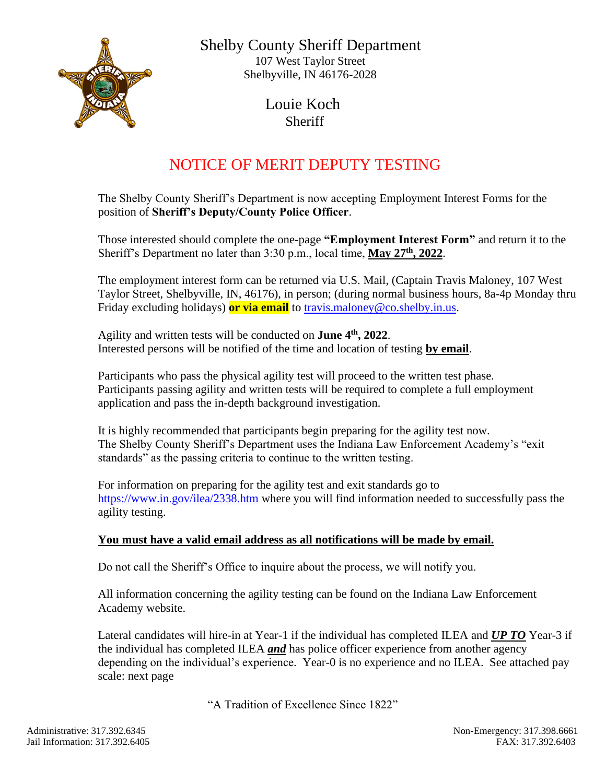

 Shelby County Sheriff Department 107 West Taylor Street Shelbyville, IN 46176-2028

> Louie Koch **Sheriff**

## NOTICE OF MERIT DEPUTY TESTING

The Shelby County Sheriff's Department is now accepting Employment Interest Forms for the position of **Sheriff's Deputy/County Police Officer**.

Those interested should complete the one-page **"Employment Interest Form"** and return it to the Sheriff's Department no later than 3:30 p.m., local time, **May 27th, 2022**.

The employment interest form can be returned via U.S. Mail, (Captain Travis Maloney, 107 West Taylor Street, Shelbyville, IN, 46176), in person; (during normal business hours, 8a-4p Monday thru Friday excluding holidays) **or via email** to [travis.maloney@co.shelby.in.us.](mailto:travis.maloney@co.shelby.in.us)

Agility and written tests will be conducted on **June 4th, 2022**. Interested persons will be notified of the time and location of testing **by email**.

Participants who pass the physical agility test will proceed to the written test phase. Participants passing agility and written tests will be required to complete a full employment application and pass the in-depth background investigation.

It is highly recommended that participants begin preparing for the agility test now. The Shelby County Sheriff's Department uses the Indiana Law Enforcement Academy's "exit standards" as the passing criteria to continue to the written testing.

For information on preparing for the agility test and exit standards go to <https://www.in.gov/ilea/2338.htm> where you will find information needed to successfully pass the agility testing.

## **You must have a valid email address as all notifications will be made by email.**

Do not call the Sheriff's Office to inquire about the process, we will notify you.

All information concerning the agility testing can be found on the Indiana Law Enforcement Academy website.

Lateral candidates will hire-in at Year-1 if the individual has completed ILEA and *UP TO* Year-3 if the individual has completed ILEA *and* has police officer experience from another agency depending on the individual's experience. Year-0 is no experience and no ILEA. See attached pay scale: next page

"A Tradition of Excellence Since 1822"